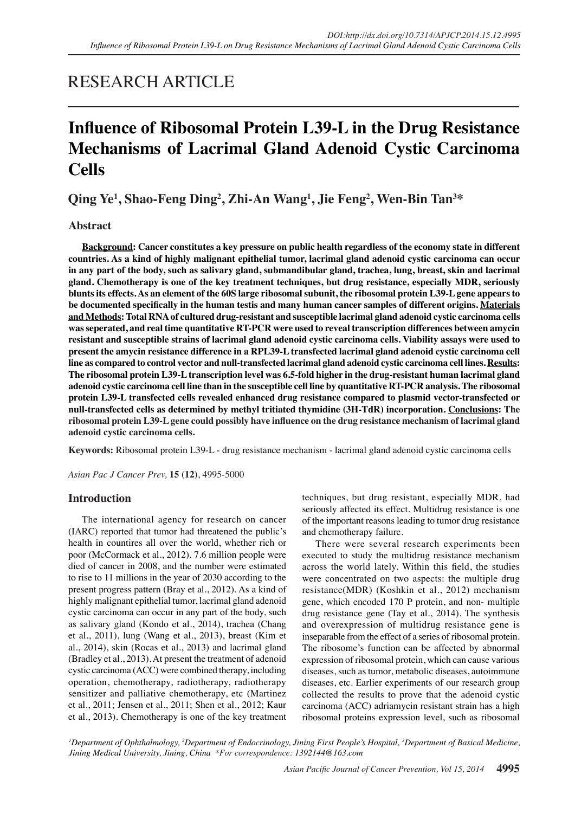## RESEARCH ARTICLE

# **Influence of Ribosomal Protein L39-L in the Drug Resistance Mechanisms of Lacrimal Gland Adenoid Cystic Carcinoma Cells**

**Qing Ye1 , Shao-Feng Ding2 , Zhi-An Wang1 , Jie Feng2 , Wen-Bin Tan3 \***

## **Abstract**

**Background: Cancer constitutes a key pressure on public health regardless of the economy state in different countries. As a kind of highly malignant epithelial tumor, lacrimal gland adenoid cystic carcinoma can occur in any part of the body, such as salivary gland, submandibular gland, trachea, lung, breast, skin and lacrimal gland. Chemotherapy is one of the key treatment techniques, but drug resistance, especially MDR, seriously blunts its effects. As an element of the 60S large ribosomal subunit, the ribosomal protein L39-L gene appears to be documented specifically in the human testis and many human cancer samples of different origins. Materials and Methods: Total RNA of cultured drug-resistant and susceptible lacrimal gland adenoid cystic carcinoma cells was seperated, and real time quantitative RT-PCR were used to reveal transcription differences between amycin resistant and susceptible strains of lacrimal gland adenoid cystic carcinoma cells. Viability assays were used to present the amycin resistance difference in a RPL39-L transfected lacrimal gland adenoid cystic carcinoma cell line as compared to control vector and null-transfected lacrimal gland adenoid cystic carcinoma cell lines. Results: The ribosomal protein L39-L transcription level was 6.5-fold higher in the drug-resistant human lacrimal gland adenoid cystic carcinoma cell line than in the susceptible cell line by quantitative RT-PCR analysis. The ribosomal protein L39-L transfected cells revealed enhanced drug resistance compared to plasmid vector-transfected or null-transfected cells as determined by methyl tritiated thymidine (3H-TdR) incorporation. Conclusions: The ribosomal protein L39-L gene could possibly have influence on the drug resistance mechanism of lacrimal gland adenoid cystic carcinoma cells.**

**Keywords:** Ribosomal protein L39-L - drug resistance mechanism - lacrimal gland adenoid cystic carcinoma cells

*Asian Pac J Cancer Prev,* **15 (12)**, 4995-5000

## **Introduction**

The international agency for research on cancer (IARC) reported that tumor had threatened the public's health in countires all over the world, whether rich or poor (McCormack et al., 2012). 7.6 million people were died of cancer in 2008, and the number were estimated to rise to 11 millions in the year of 2030 according to the present progress pattern (Bray et al., 2012). As a kind of highly malignant epithelial tumor, lacrimal gland adenoid cystic carcinoma can occur in any part of the body, such as salivary gland (Kondo et al., 2014), trachea (Chang et al., 2011), lung (Wang et al., 2013), breast (Kim et al., 2014), skin (Rocas et al., 2013) and lacrimal gland (Bradley et al., 2013). At present the treatment of adenoid cystic carcinoma (ACC) were combined therapy, including operation, chemotherapy, radiotherapy, radiotherapy sensitizer and palliative chemotherapy, etc (Martinez et al., 2011; Jensen et al., 2011; Shen et al., 2012; Kaur et al., 2013). Chemotherapy is one of the key treatment

techniques, but drug resistant, especially MDR, had seriously affected its effect. Multidrug resistance is one of the important reasons leading to tumor drug resistance and chemotherapy failure.

There were several research experiments been executed to study the multidrug resistance mechanism across the world lately. Within this field, the studies were concentrated on two aspects: the multiple drug resistance(MDR) (Koshkin et al., 2012) mechanism gene, which encoded 170 P protein, and non- multiple drug resistance gene (Tay et al., 2014). The synthesis and overexpression of multidrug resistance gene is inseparable from the effect of a series of ribosomal protein. The ribosome's function can be affected by abnormal expression of ribosomal protein, which can cause various diseases, such as tumor, metabolic diseases, autoimmune diseases, etc. Earlier experiments of our research group collected the results to prove that the adenoid cystic carcinoma (ACC) adriamycin resistant strain has a high ribosomal proteins expression level, such as ribosomal

*1 Department of Ophthalmology, 2 Department of Endocrinology, Jining First People's Hospital, 3 Department of Basical Medicine, Jining Medical University, Jining, China \*For correspondence: 1392144@163.com*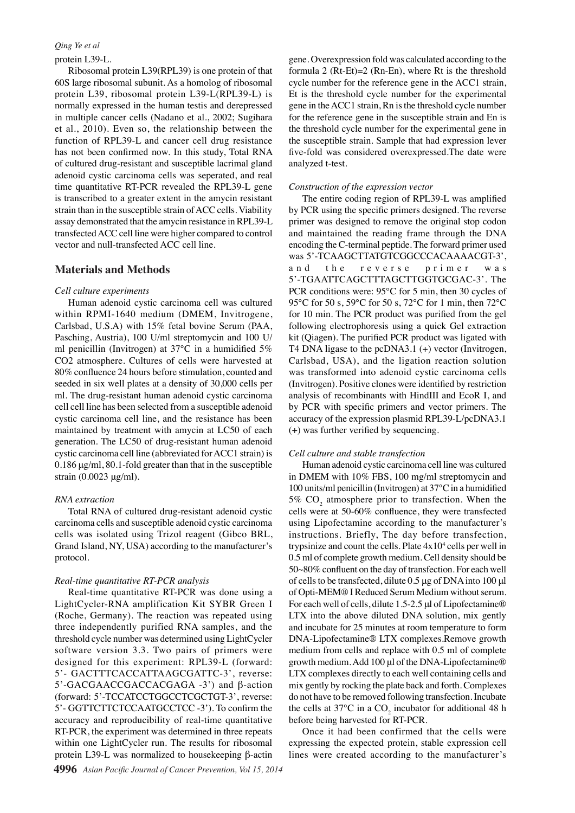#### *Qing Ye et al*

#### protein L39-L.

Ribosomal protein L39(RPL39) is one protein of that 60S large ribosomal subunit. As a homolog of ribosomal protein L39, ribosomal protein L39-L(RPL39-L) is normally expressed in the human testis and derepressed in multiple cancer cells (Nadano et al., 2002; Sugihara et al., 2010). Even so, the relationship between the function of RPL39-L and cancer cell drug resistance has not been confirmed now. In this study, Total RNA of cultured drug-resistant and susceptible lacrimal gland adenoid cystic carcinoma cells was seperated, and real time quantitative RT-PCR revealed the RPL39-L gene is transcribed to a greater extent in the amycin resistant strain than in the susceptible strain of ACC cells. Viability assay demonstrated that the amycin resistance in RPL39-L transfected ACC cell line were higher compared to control vector and null-transfected ACC cell line.

#### **Materials and Methods**

#### *Cell culture experiments*

Human adenoid cystic carcinoma cell was cultured within RPMI-1640 medium (DMEM, Invitrogene, Carlsbad, U.S.A) with 15% fetal bovine Serum (PAA, Pasching, Austria), 100 U/ml streptomycin and 100 U/ ml penicillin (Invitrogen) at 37℃ in a humidified 5% CO2 atmosphere. Cultures of cells were harvested at 80% confluence 24 hours before stimulation, counted and seeded in six well plates at a density of 30,000 cells per ml. The drug-resistant human adenoid cystic carcinoma cell cell line has been selected from a susceptible adenoid cystic carcinoma cell line, and the resistance has been maintained by treatment with amycin at LC50 of each generation. The LC50 of drug-resistant human adenoid cystic carcinoma cell line (abbreviated for ACC1 strain) is 0.186 μg/ml, 80.1-fold greater than that in the susceptible strain (0.0023 μg/ml).

#### *RNA extraction*

Total RNA of cultured drug-resistant adenoid cystic carcinoma cells and susceptible adenoid cystic carcinoma cells was isolated using Trizol reagent (Gibco BRL, Grand Island, NY, USA) according to the manufacturer's protocol.

#### *Real-time quantitative RT-PCR analysis*

Real-time quantitative RT-PCR was done using a LightCycler-RNA amplification Kit SYBR Green I (Roche, Germany). The reaction was repeated using three independently purified RNA samples, and the threshold cycle number was determined using LightCycler software version 3.3. Two pairs of primers were designed for this experiment: RPL39-L (forward: 5'- GACTTTCACCATTAAGCGATTC-3', reverse: 5'-GACGAACCGACCACGAGA -3') and β-action (forward: 5'-TCCATCCTGGCCTCGCTGT-3', reverse: 5'- GGTTCTTCTCCAATGCCTCC -3'). To confirm the accuracy and reproducibility of real-time quantitative RT-PCR, the experiment was determined in three repeats within one LightCycler run. The results for ribosomal protein L39-L was normalized to housekeeping β-actin

gene. Overexpression fold was calculated according to the formula 2  $(Rt-Et)=2 (Rn-En)$ , where Rt is the threshold cycle number for the reference gene in the ACC1 strain, Et is the threshold cycle number for the experimental gene in the ACC1 strain, Rn is the threshold cycle number for the reference gene in the susceptible strain and En is the threshold cycle number for the experimental gene in the susceptible strain. Sample that had expression lever five-fold was considered overexpressed.The date were analyzed t-test.

## *Construction of the expression vector*

The entire coding region of RPL39-L was amplified by PCR using the specific primers designed. The reverse primer was designed to remove the original stop codon and maintained the reading frame through the DNA encoding the C-terminal peptide. The forward primer used was 5'-TCAAGCTTATGTCGGCCCACAAAACGT-3', and the reverse primer was 5'-TGAATTCAGCTTTAGCTTGGTGCGAC-3'. The PCR conditions were: 95℃ for 5 min, then 30 cycles of 95 °C for 50 s, 59 °C for 50 s, 72 °C for 1 min, then 72 °C for 10 min. The PCR product was purified from the gel following electrophoresis using a quick Gel extraction kit (Qiagen). The purified PCR product was ligated with T4 DNA ligase to the pcDNA3.1 (+) vector (Invitrogen, Carlsbad, USA), and the ligation reaction solution was transformed into adenoid cystic carcinoma cells (Invitrogen). Positive clones were identified by restriction analysis of recombinants with HindⅢ and EcoR I, and by PCR with specific primers and vector primers. The accuracy of the expression plasmid RPL39-L/pcDNA3.1 (+) was further verified by sequencing.

#### *Cell culture and stable transfection*

Human adenoid cystic carcinoma cell line was cultured in DMEM with 10% FBS, 100 mg/ml streptomycin and 100 units/ml penicillin (Invitrogen) at 37℃ in a humidified 5%  $CO<sub>2</sub>$  atmosphere prior to transfection. When the cells were at 50-60% confluence, they were transfected using Lipofectamine according to the manufacturer's instructions. Briefly, The day before transfection, trypsinize and count the cells. Plate  $4x10<sup>4</sup>$  cells per well in 0.5 ml of complete growth medium. Cell density should be 50~80% confluent on the day of transfection. For each well of cells to be transfected, dilute 0.5 μg of DNA into 100 μl of Opti-MEM® I Reduced Serum Medium without serum. For each well of cells, dilute 1.5-2.5 μl of Lipofectamine® LTX into the above diluted DNA solution, mix gently and incubate for 25 minutes at room temperature to form DNA-Lipofectamine® LTX complexes.Remove growth medium from cells and replace with 0.5 ml of complete growth medium. Add 100 μl of the DNA-Lipofectamine® LTX complexes directly to each well containing cells and mix gently by rocking the plate back and forth. Complexes do not have to be removed following transfection. Incubate the cells at 37°C in a  $CO_2$  incubator for additional 48 h before being harvested for RT-PCR.

Once it had been confirmed that the cells were expressing the expected protein, stable expression cell lines were created according to the manufacturer's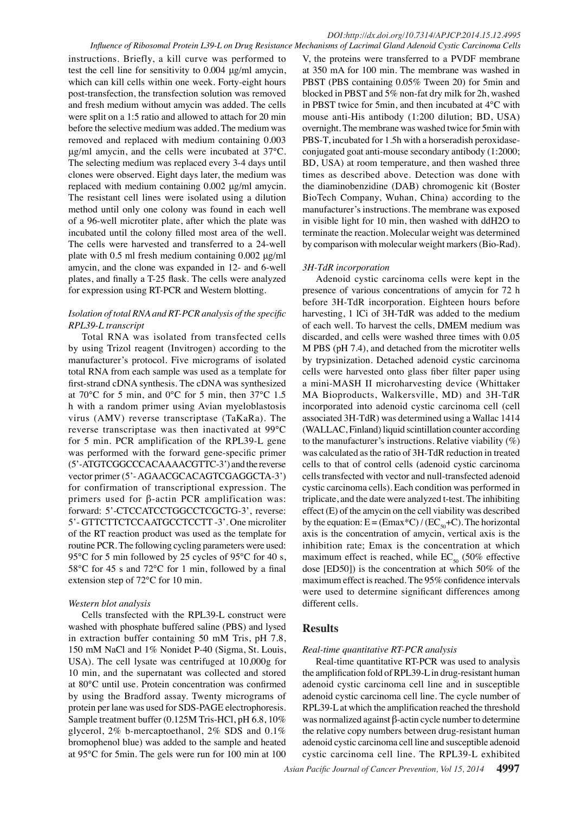instructions. Briefly, a kill curve was performed to test the cell line for sensitivity to 0.004 μg/ml amycin, which can kill cells within one week. Forty-eight hours post-transfection, the transfection solution was removed and fresh medium without amycin was added. The cells were split on a 1:5 ratio and allowed to attach for 20 min before the selective medium was added. The medium was removed and replaced with medium containing 0.003 μg/ml amycin, and the cells were incubated at 37℃. The selecting medium was replaced every 3-4 days until clones were observed. Eight days later, the medium was replaced with medium containing 0.002 μg/ml amycin. The resistant cell lines were isolated using a dilution method until only one colony was found in each well of a 96-well microtiter plate, after which the plate was incubated until the colony filled most area of the well. The cells were harvested and transferred to a 24-well plate with 0.5 ml fresh medium containing 0.002 μg/ml amycin, and the clone was expanded in 12- and 6-well plates, and finally a T-25 flask. The cells were analyzed for expression using RT-PCR and Western blotting.

## *Isolation of total RNA and RT-PCR analysis of the specific RPL39-L transcript*

Total RNA was isolated from transfected cells by using Trizol reagent (Invitrogen) according to the manufacturer's protocol. Five micrograms of isolated total RNA from each sample was used as a template for first-strand cDNA synthesis. The cDNA was synthesized at 70℃ for 5 min, and 0℃ for 5 min, then 37℃ 1.5 h with a random primer using Avian myeloblastosis virus (AMV) reverse transcriptase (TaKaRa). The reverse transcriptase was then inactivated at 99℃ for 5 min. PCR amplification of the RPL39-L gene was performed with the forward gene-specific primer (5'-ATGTCGGCCCACAAAACGTTC-3') and the reverse vector primer (5'- AGAACGCACAGTCGAGGCTA-3') for confirmation of transcriptional expression. The primers used for β-actin PCR amplification was: forward: 5'-CTCCATCCTGGCCTCGCTG-3', reverse: 5'- GTTCTTCTCCAATGCCTCCTT -3'. One microliter of the RT reaction product was used as the template for routine PCR. The following cycling parameters were used: 95 °C for 5 min followed by 25 cycles of 95 °C for 40 s, 58℃ for 45 s and 72℃ for 1 min, followed by a final extension step of 72℃ for 10 min.

#### *Western blot analysis*

Cells transfected with the RPL39-L construct were washed with phosphate buffered saline (PBS) and lysed in extraction buffer containing 50 mM Tris, pH 7.8, 150 mM NaCl and 1% Nonidet P-40 (Sigma, St. Louis, USA). The cell lysate was centrifuged at 10,000g for 10 min, and the supernatant was collected and stored at 80℃ until use. Protein concentration was confirmed by using the Bradford assay. Twenty micrograms of protein per lane was used for SDS-PAGE electrophoresis. Sample treatment buffer (0.125M Tris-HCl, pH 6.8, 10% glycerol, 2% b-mercaptoethanol, 2% SDS and 0.1% bromophenol blue) was added to the sample and heated at 95℃ for 5min. The gels were run for 100 min at 100

V, the proteins were transferred to a PVDF membrane at 350 mA for 100 min. The membrane was washed in PBST (PBS containing 0.05% Tween 20) for 5min and blocked in PBST and 5% non-fat dry milk for 2h, washed in PBST twice for 5min, and then incubated at 4℃ with mouse anti-His antibody (1:200 dilution; BD, USA) overnight. The membrane was washed twice for 5min with PBS-T, incubated for 1.5h with a horseradish peroxidaseconjugated goat anti-mouse secondary antibody (1:2000; BD, USA) at room temperature, and then washed three times as described above. Detection was done with the diaminobenzidine (DAB) chromogenic kit (Boster BioTech Company, Wuhan, China) according to the manufacturer's instructions. The membrane was exposed in visible light for 10 min, then washed with ddH2O to terminate the reaction. Molecular weight was determined by comparison with molecular weight markers (Bio-Rad).

## *3H-TdR incorporation*

Adenoid cystic carcinoma cells were kept in the presence of various concentrations of amycin for 72 h before 3H-TdR incorporation. Eighteen hours before harvesting, 1 lCi of 3H-TdR was added to the medium of each well. To harvest the cells, DMEM medium was discarded, and cells were washed three times with 0.05 M PBS (pH 7.4), and detached from the microtiter wells by trypsinization. Detached adenoid cystic carcinoma cells were harvested onto glass fiber filter paper using a mini-MASH II microharvesting device (Whittaker MA Bioproducts, Walkersville, MD) and 3H-TdR incorporated into adenoid cystic carcinoma cell (cell associated 3H-TdR) was determined using a Wallac 1414 (WALLAC, Finland) liquid scintillation counter according to the manufacturer's instructions. Relative viability  $(\%)$ was calculated as the ratio of 3H-TdR reduction in treated cells to that of control cells (adenoid cystic carcinoma cells transfected with vector and null-transfected adenoid cystic carcinoma cells). Each condition was performed in triplicate, and the date were analyzed t-test. The inhibiting effect (E) of the amycin on the cell viability was described by the equation:  $E = (Emax*C) / (EC<sub>so</sub>+C)$ . The horizontal axis is the concentration of amycin, vertical axis is the inhibition rate; Emax is the concentration at which maximum effect is reached, while  $EC_{50}$  (50% effective dose [ED50]) is the concentration at which 50% of the maximum effect is reached. The 95% confidence intervals were used to determine significant differences among different cells.

## **Results**

#### *Real-time quantitative RT-PCR analysis*

Real-time quantitative RT-PCR was used to analysis the amplification fold of RPL39-L in drug-resistant human adenoid cystic carcinoma cell line and in susceptible adenoid cystic carcinoma cell line. The cycle number of RPL39-L at which the amplification reached the threshold was normalized against β-actin cycle number to determine the relative copy numbers between drug-resistant human adenoid cystic carcinoma cell line and susceptible adenoid cystic carcinoma cell line. The RPL39-L exhibited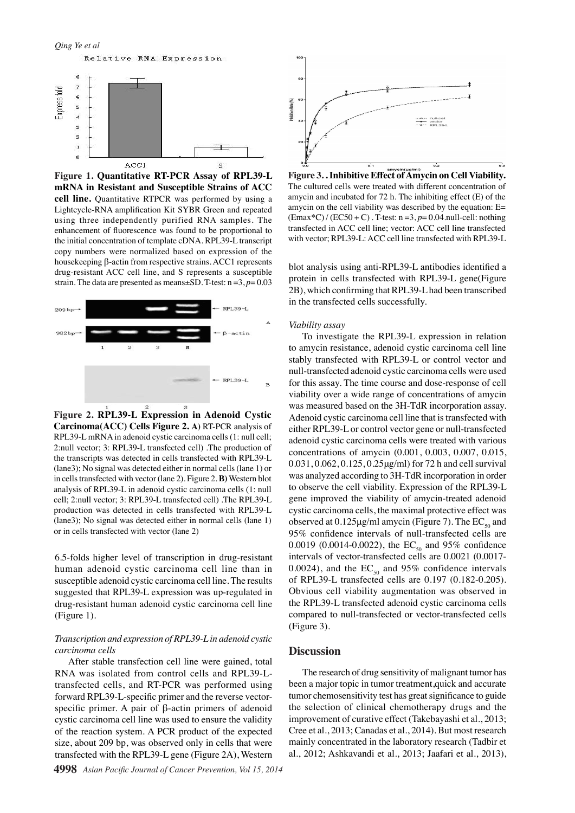

**Figure 1. Quantitative RT-PCR Assay of RPL39-L mRNA in Resistant and Susceptible Strains of ACC cell line.** Quantitative RTPCR was performed by using a Lightcycle-RNA amplification Kit SYBR Green and repeated using three independently purified RNA samples. The enhancement of fluorescence was found to be proportional to the initial concentration of template cDNA. RPL39-L transcript copy numbers were normalized based on expression of the housekeeping β-actin from respective strains. ACC1 represents drug-resistant ACC cell line, and S represents a susceptible strain. The data are presented as means±SD. T-test: n =3, *p*= 0.03



**Figure 2. RPL39-L Expression in Adenoid Cystic Carcinoma(ACC) Cells Figure 2. A)** RT-PCR analysis of RPL39-L mRNA in adenoid cystic carcinoma cells (1: null cell; 2:null vector; 3: RPL39-L transfected cell) .The production of the transcripts was detected in cells transfected with RPL39-L (lane3); No signal was detected either in normal cells (lane 1) or in cells transfected with vector (lane 2). Figure 2. **B)** Western blot analysis of RPL39-L in adenoid cystic carcinoma cells (1: null cell; 2:null vector; 3: RPL39-L transfected cell) .The RPL39-L production was detected in cells transfected with RPL39-L (lane3); No signal was detected either in normal cells (lane 1) or in cells transfected with vector (lane 2)

6.5-folds higher level of transcription in drug-resistant human adenoid cystic carcinoma cell line than in susceptible adenoid cystic carcinoma cell line. The results suggested that RPL39-L expression was up-regulated in drug-resistant human adenoid cystic carcinoma cell line (Figure 1).

#### *Transcription and expression of RPL39-L in adenoid cystic carcinoma cells*

After stable transfection cell line were gained, total RNA was isolated from control cells and RPL39-Ltransfected cells, and RT-PCR was performed using forward RPL39-L-specific primer and the reverse vectorspecific primer. A pair of β-actin primers of adenoid cystic carcinoma cell line was used to ensure the validity of the reaction system. A PCR product of the expected size, about 209 bp, was observed only in cells that were transfected with the RPL39-L gene (Figure 2A), Western



**Figure 3. . Inhibitive Effect of Amycin on Cell Viability.**  The cultured cells were treated with different concentration of amycin and incubated for 72 h. The inhibiting effect (E) of the amycin on the cell viability was described by the equation: E= (Emax\*C) / (EC50 + C) . T-test: n =3, *p*= 0.04.null-cell: nothing transfected in ACC cell line; vector: ACC cell line transfected with vector; RPL39-L: ACC cell line transfected with RPL39-L

blot analysis using anti-RPL39-L antibodies identified a protein in cells transfected with RPL39-L gene(Figure 2B), which confirming that RPL39-L had been transcribed in the transfected cells successfully.

#### *Viability assay*

To investigate the RPL39-L expression in relation to amycin resistance, adenoid cystic carcinoma cell line stably transfected with RPL39-L or control vector and null-transfected adenoid cystic carcinoma cells were used for this assay. The time course and dose-response of cell viability over a wide range of concentrations of amycin was measured based on the 3H-TdR incorporation assay. Adenoid cystic carcinoma cell line that is transfected with either RPL39-L or control vector gene or null-transfected adenoid cystic carcinoma cells were treated with various concentrations of amycin (0.001, 0.003, 0.007, 0.015, 0.031, 0.062, 0.125, 0.25μg/ml) for 72 h and cell survival was analyzed according to 3H-TdR incorporation in order to observe the cell viability. Expression of the RPL39-L gene improved the viability of amycin-treated adenoid cystic carcinoma cells, the maximal protective effect was observed at  $0.125 \mu g/ml$  amycin (Figure 7). The EC<sub>50</sub> and 95% confidence intervals of null-transfected cells are 0.0019 (0.0014-0.0022), the  $EC_{50}$  and 95% confidence intervals of vector-transfected cells are 0.0021 (0.0017- 0.0024), and the  $EC_{50}$  and 95% confidence intervals of RPL39-L transfected cells are 0.197 (0.182-0.205). Obvious cell viability augmentation was observed in the RPL39-L transfected adenoid cystic carcinoma cells compared to null-transfected or vector-transfected cells (Figure 3).

#### **Discussion**

The research of drug sensitivity of malignant tumor has been a major topic in tumor treatment,quick and accurate tumor chemosensitivity test has great significance to guide the selection of clinical chemotherapy drugs and the improvement of curative effect (Takebayashi et al., 2013; Cree et al., 2013; Canadas et al., 2014). But most research mainly concentrated in the laboratory research (Tadbir et al., 2012; Ashkavandi et al., 2013; Jaafari et al., 2013),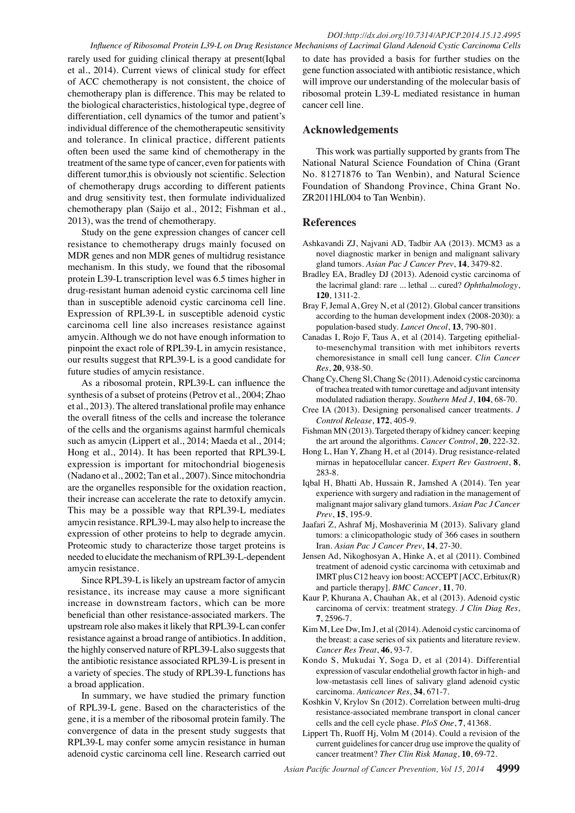rarely used for guiding clinical therapy at present(Iqbal et al., 2014). Current views of clinical study for effect of ACC chemotherapy is not consistent, the choice of chemotherapy plan is difference. This may be related to the biological characteristics, histological type, degree of differentiation, cell dynamics of the tumor and patient's individual difference of the chemotherapeutic sensitivity and tolerance. In clinical practice, different patients often been used the same kind of chemotherapy in the treatment of the same type of cancer, even for patients with different tumor,this is obviously not scientific. Selection of chemotherapy drugs according to different patients and drug sensitivity test, then formulate individualized chemotherapy plan (Saijo et al., 2012; Fishman et al., 2013), was the trend of chemotherapy.

Study on the gene expression changes of cancer cell resistance to chemotherapy drugs mainly focused on MDR genes and non MDR genes of multidrug resistance mechanism. In this study, we found that the ribosomal protein L39-L transcription level was 6.5 times higher in drug-resistant human adenoid cystic carcinoma cell line than in susceptible adenoid cystic carcinoma cell line. Expression of RPL39-L in susceptible adenoid cystic carcinoma cell line also increases resistance against amycin. Although we do not have enough information to pinpoint the exact role of RPL39-L in amycin resistance, our results suggest that RPL39-L is a good candidate for future studies of amycin resistance.

As a ribosomal protein, RPL39-L can influence the synthesis of a subset of proteins (Petrov et al., 2004; Zhao et al., 2013). The altered translational profile may enhance the overall fitness of the cells and increase the tolerance of the cells and the organisms against harmful chemicals such as amycin (Lippert et al., 2014; Maeda et al., 2014; Hong et al., 2014). It has been reported that RPL39-L expression is important for mitochondrial biogenesis (Nadano et al., 2002; Tan et al., 2007). Since mitochondria are the organelles responsible for the oxidation reaction, their increase can accelerate the rate to detoxify amycin. This may be a possible way that RPL39-L mediates amycin resistance. RPL39-L may also help to increase the expression of other proteins to help to degrade amycin. Proteomic study to characterize those target proteins is needed to elucidate the mechanism of RPL39-L-dependent amycin resistance.

Since RPL39-L is likely an upstream factor of amycin resistance, its increase may cause a more significant increase in downstream factors, which can be more beneficial than other resistance-associated markers. The upstream role also makes it likely that RPL39-L can confer resistance against a broad range of antibiotics. In addition, the highly conserved nature of RPL39-L also suggests that the antibiotic resistance associated RPL39-L is present in a variety of species. The study of RPL39-L functions has a broad application.

In summary, we have studied the primary function of RPL39-L gene. Based on the characteristics of the gene, it is a member of the ribosomal protein family. The convergence of data in the present study suggests that RPL39-L may confer some amycin resistance in human adenoid cystic carcinoma cell line. Research carried out

to date has provided a basis for further studies on the gene function associated with antibiotic resistance, which will improve our understanding of the molecular basis of ribosomal protein L39-L mediated resistance in human cancer cell line.

## **Acknowledgements**

This work was partially supported by grants from The National Natural Science Foundation of China (Grant No. 81271876 to Tan Wenbin), and Natural Science Foundation of Shandong Province, China Grant No. ZR2011HL004 to Tan Wenbin).

## **References**

- Ashkavandi ZJ, Najvani AD, Tadbir AA (2013). MCM3 as a novel diagnostic marker in benign and malignant salivary gland tumors. *Asian Pac J Cancer Prev*, **14**, 3479-82.
- Bradley EA, Bradley DJ (2013). Adenoid cystic carcinoma of the lacrimal gland: rare ... lethal ... cured? *Ophthalmology*, **120**, 1311-2.
- Bray F, Jemal A, Grey N, et al (2012). Global cancer transitions according to the human development index (2008-2030): a population-based study. *Lancet Oncol*, **13**, 790-801.
- Canadas I, Rojo F, Taus A, et al (2014). Targeting epithelialto-mesenchymal transition with met inhibitors reverts chemoresistance in small cell lung cancer. *Clin Cancer Res*, **20**, 938-50.
- Chang Cy, Cheng Sl, Chang Sc (2011). Adenoid cystic carcinoma of trachea treated with tumor curettage and adjuvant intensity modulated radiation therapy. *Southern Med J*, **104**, 68-70.
- Cree IA (2013). Designing personalised cancer treatments. *J Control Release*, **172**, 405-9.
- Fishman MN (2013). Targeted therapy of kidney cancer: keeping the art around the algorithms. *Cancer Control*, **20**, 222-32.
- Hong L, Han Y, Zhang H, et al (2014). Drug resistance-related mirnas in hepatocellular cancer. *Expert Rev Gastroent*, **8**, 283-8.
- Iqbal H, Bhatti Ab, Hussain R, Jamshed A (2014). Ten year experience with surgery and radiation in the management of malignant major salivary gland tumors. *Asian Pac J Cancer Prev*, **15**, 195-9.
- Jaafari Z, Ashraf Mj, Moshaverinia M (2013). Salivary gland tumors: a clinicopathologic study of 366 cases in southern Iran. *Asian Pac J Cancer Prev*, **14**, 27-30.
- Jensen Ad, Nikoghosyan A, Hinke A, et al (2011). Combined treatment of adenoid cystic carcinoma with cetuximab and IMRT plus C12 heavy ion boost: ACCEPT [ACC, Erbitux(R) and particle therapy]. *BMC Cancer*, **11**, 70.
- Kaur P, Khurana A, Chauhan Ak, et al (2013). Adenoid cystic carcinoma of cervix: treatment strategy. *J Clin Diag Res*, **7**, 2596-7.
- Kim M, Lee Dw, Im J, et al (2014). Adenoid cystic carcinoma of the breast: a case series of six patients and literature review. *Cancer Res Treat*, **46**, 93-7.
- Kondo S, Mukudai Y, Soga D, et al (2014). Differential expression of vascular endothelial growth factor in high- and low-metastasis cell lines of salivary gland adenoid cystic carcinoma. *Anticancer Res*, **34**, 671-7.
- Koshkin V, Krylov Sn (2012). Correlation between multi-drug resistance-associated membrane transport in clonal cancer cells and the cell cycle phase. *PloS One*, **7**, 41368.
- Lippert Th, Ruoff Hj, Volm M (2014). Could a revision of the current guidelines for cancer drug use improve the quality of cancer treatment? *Ther Clin Risk Manag*, **10**, 69-72.